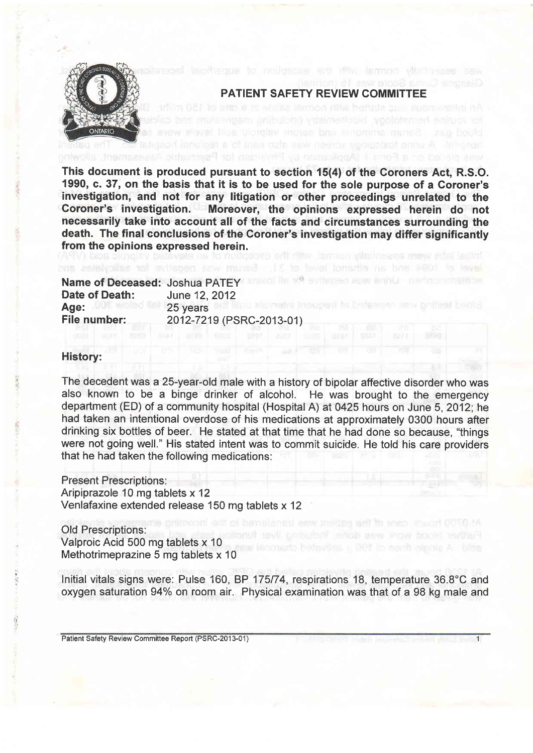

## PATIENT SAFETY REVIEW COMMITTEE

ackteministic Urina wie neministe R

This document is produced pursuant to section 15(4) of the Coroners Act, R.S.O. 1990, c. 37, on the basis that it is to be used for the sole purpose of a Coroner's investigation, and not for any litigation or other proceedings unrelated to the Coroner's investigation. Moreover, the opinions expressed herein do not necessarily take into account all of the facts and circumstances surrounding the death. The final conclusions of the Coroner's investigation may differ significantly from the opinions expressed herein.

| Name of Deceased: Joshua PATEY |
|--------------------------------|
| June 12, 2012                  |
| 25 years                       |
| 2012-7219 (PSRC-2013-01)       |
|                                |

### History:

The decedent was a 25-year-old male with a history of bipolar affective disorder who was also known to be a binge drinker of alcohol. He was brought to the emergency department (ED) of a community hospital (Hospital A) at0425 hours on June 5,2012; he had taken an intentional overdose of his medications at approximately 0300 hours after drinking six bottles of beer. He stated at that time that he had done so because, "things were not going well." His stated intent was to commit suicide. He told his care providers that he had taken the following medications:

Present Prescriptions:

Aripiprazole 10 mg tablets x 12 Venlafaxine extended release 150 mg tablets x 12

Old Prescriptions: Valproic Acid 500 mg tablets x 10 Methotrimeprazine 5 mg tablets x 10

lnitial vitals signs were: Pulse 160, BP 175174, respirations 18, temperature 36.8'C and oxygen saturation 94% on room air. Physical examination was that of a 98 kg male and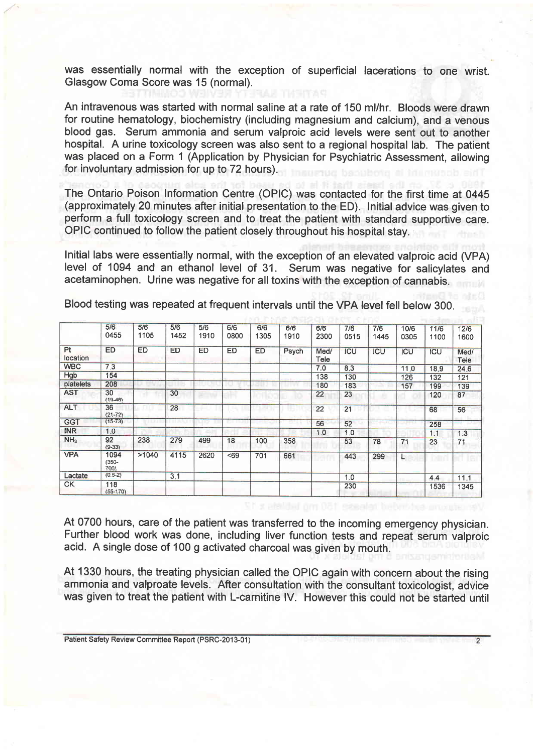was essentially normal with the exception of superficial lacerations to one wrist. Glasgow Coma Score was 15 (normal).

An intravenous was started with normal saline at a rate of 150 ml/hr. Bloods were drawn for routine hematology, biochemistry (including magnesium and calcium), and a venous blood gas. Serum ammonia and serum valproic acid levels were sent out to another hospital. A urine toxicology screen was also sent to a regional hospital lab. The patient was placed on a Form 1 (Application by Physician for Psychiatric Assessment, allowing for involuntary admission for up to 72 hours).

The Ontario Poison Information Centre (OPIC) was contacted for the first time at 0445 (approximately 20 minutes after initial presentation to the ED). Initial advice was given to perform a full toxicology screen and to treat the patient with standard supportive care. oPlc continued to follow the patient closely throughout his hospital stay.

Initial labs were essentially normal, with the exception of an elevated valproic acid (VPA) level of 1094 and an ethanol level of 31. Serum was negative for salicylates and acetaminophen. Urine was negative for all toxins with the exception of cannabis.

|                       | 5/6<br>0455              | 5/6<br>1105 | 5/6<br>1452 | 5/6<br>1910 | 6/6<br>0800 | 6/6<br>1305 | 6/6<br>1910 | 6/6<br>2300  | 7/6<br>0515 | 7/6<br>1445 | 10/6<br>0305 | 11/6<br>1100 | 12/6<br>1600 |
|-----------------------|--------------------------|-------------|-------------|-------------|-------------|-------------|-------------|--------------|-------------|-------------|--------------|--------------|--------------|
| <b>Pt</b><br>location | <b>ED</b>                | <b>ED</b>   | <b>ED</b>   | <b>ED</b>   | ED          | <b>ED</b>   | Psych       | Med/<br>Tele | <b>ICU</b>  | ICU         | ICU          | <b>ICU</b>   | Med/<br>Tele |
| <b>WBC</b>            | 7.3                      |             |             |             |             |             |             | 7.0          | 8.3         |             | 11.0         | 18.9         | 24.6         |
| Hgb                   | 154                      |             |             |             |             |             |             | 138          | 130         |             | 126          | 132          | 121          |
| platelets             | 208                      |             |             |             |             |             |             | 180          | 183         |             | 157          | 199          | 139          |
| <b>AST</b>            | 30<br>$(19-48)$          |             | 30          |             |             |             |             | 22           | 23          |             |              | 120          | 87           |
| <b>ALT</b>            | 36<br>$(21 - 72)$        |             | 28          |             |             |             |             | 22           | 21          |             |              | 68           | 56           |
| <b>GGT</b>            | $(15-73)$                |             |             |             |             |             |             | 56           | 52          |             |              | 258          |              |
| <b>INR</b>            | 1.0                      |             |             |             |             |             |             | 1.0          | 1.0         |             |              | 1.1          | 1.3          |
| NH <sub>3</sub>       | 92<br>$(9-33)$           | 238         | 279         | 499         | 18          | 100         | 358         |              | 53          | 78          | 71           | 23           | 71           |
| <b>VPA</b>            | 1094<br>$(350 -$<br>700) | >1040       | 4115        | 2620        | < 69        | 701         | 661         |              | 443         | 299         |              |              |              |
| Lactate               | $(0.5-2)$                |             | 3.1         |             |             |             |             |              | 1.0         |             |              | 4.4          | 11.1         |
| <b>CK</b>             | 118<br>$(55-170)$        |             |             |             |             |             |             |              | 230         |             |              | 1536         | 1345         |

Blood testing was repeated at frequent intervals until the VPA level fell below 300.

At 0700 hours, care of the patient was transferred to the incoming emergency physician. Further blood work was done, including liver function tests and repeat serum valproic acid. A single dose of 100 g activated charcoal was given by mouth.

At 1330 hours, the treating physician called the OPIC again with concern about the rising ammonia and valproate levels. After consultation with the consultant toxicologist, advice was given to treat the patient with L-carnitine lV. However this could not be started until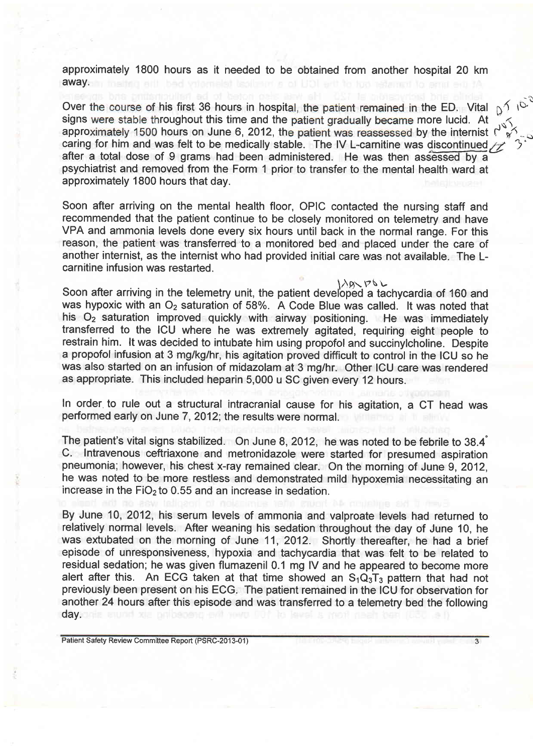approximately 1800 hours as it needed to be obtained from another hospital 20 km away.

Over the course of his first 36 hours in hospital, the patient remained in the ED. Vital  $p^{\prime}$ ,  $p^{\lambda}$ ,  $p^{\lambda}$  is signs were stable throughout this time and the patient gradually became more lucid. At  $\sim$ approximately 1500 hours on June 6, 2012, the patient was reassessed by the internist  $\int_{0}^{\infty}$ . caring for him and was felt to be medically stable. The IV L-carnitine was discontinued  $/z$ after a total dose of 9 grams had been administered. He was then assessed by a psychiatrist and removed from the Form 1 prior to transfer to the mental health ward at approximately 1800 hours that day.

Soon after arriving on the mental health floor, OPIC contacted the nursing staff and recommended that the patient continue to be closely monitored on telemetry and have VPA and ammonia levels done every six hours until back in the normal range. For this reason, the patient was transferred to a monitored bed and placed under the care of another internist, as the internist who had provided initial care was not available. The Lcarnitine infusion was restarted.

Soon after arriving in the telemetry unit, the patient developed a tachycardia of 160 and was hypoxic with an  $O_2$  saturation of 58%. A Code Blue was called. It was noted that his  $O<sub>2</sub>$  saturation improved quickly with airway positioning. He was immediately transferred to the ICU where he was extremely agitated, requiring eight people to restrain him. lt was decided to intubate him using propofol and succinylcholine. Despite a propofol infusion at 3 mg/kg/hr, his agitation proved difficult to control in the ICU so he was also started on an infusion of midazolam at 3 mg/hr. Other ICU care was rendered as appropriate. This included heparin 5,000 u SC given every 12 hours.

In order to rule out a structural intracranial cause for his agitation, a CT head was performed early on June 7, 2012; the results were normal.

The patient's vital signs stabilized. On June 8,2012, he was noted to be febrile to 38.4' C. Intravenous ceftriaxone and metronidazole were started for presumed aspiration pneumonia; however, his chest x-ray remained clear. On the morning of June 9,2012, he was noted to be more restless and demonstrated mild hypoxemia necessitating an increase in the FiO<sub>2</sub> to 0.55 and an increase in sedation.

By June 10,2012, his serum levels of ammonia and valproate levels had returned to relatively normal levels. After weaning his sedation throughout the day of June 10, he was extubated on the morning of June 11,2012. Shortly thereafter, he had a brief episode of unresponsiveness, hypoxia and tachycardia that was felt to be related to residual sedation; he was given flumazenil 0.1 mg lV and he appeared to become more alert after this. An ECG taken at that time showed an  $S_1Q_3T_3$  pattern that had not previously been present on his ECG. The patient remained in the ICU for observation for another 24 hours after this episode and was transferred to a telemetry bed the following day.

 $\overline{3}$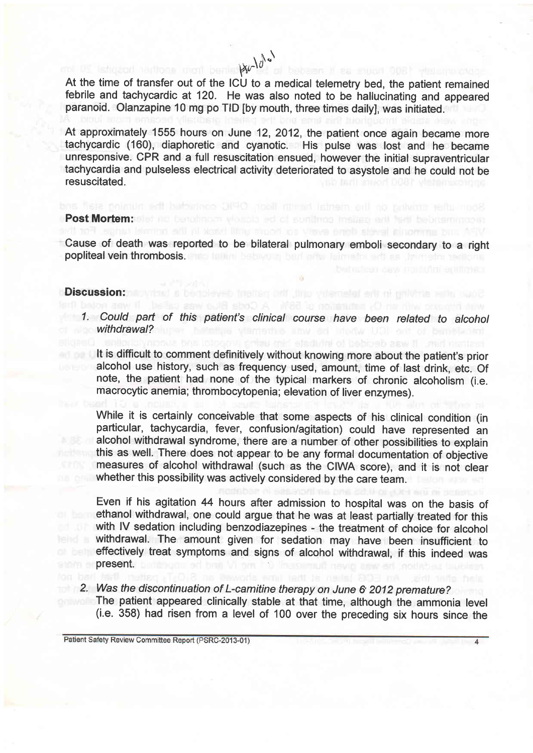At the time of transfer out of the ICU to a medical telemetry bed, the patient remained febrile and tachycardic at 120. He was also noted to be hallucinating and appeared paranoid. Olanzapine 10 mg po TID [by mouth, three times daily], was initiated.

At approximately 1555 hours on June 12, 2012, the patient once again became more tachycardic (160), diaphoretic and cyanotic. His pulse was lost and he became unresponsive. CPR and a full resuscitation ensued, however the initial supraventricular tachycardia and pulseless electrical activity deteriorated to asystole and he could not be resuscitated.

#### Post Mortem:

Cause of death was reported to be bilateral pulmonary emboli secondary to a right popliteal vein thrombosis. The training behavior band on a later side of the

stund as views anot slevel itingering bro-

#### Discussion:

1. Could part of this patient's clinical course have been related to alcohol withdrawal?

It is difficult to comment definitively without knowing more about the patient's prior alcohol use history, such as frequency used, amount, time of last drink, etc. Of note, the patient had none of the typical markers of chronic alcoholism (i.e. macrocytic anemia; thrombocytopenia; elevation of liver enzymes)

While it is certainly conceivable that some aspects of his clinical condition (in particular, tachycardia, fever, confusion/agitation) could have represented an alcohol withdrawal syndrome, there are a number of other possibilities to explain this as well. There does not appear to be any formal documentation of objective measures of alcohol withdrawal (such as the CIWA score), and it is not clear whether this possibility was actively considered by the care team.

Even if his agitation 44 hours after admission to hospital was on the basis of ethanol withdrawal, one could argue that he was at least partially treated for this with IV sedation including benzodiazepines - the treatment of choice for alcohol withdrawal. The amount given for sedation may have been insufficient to effectively treat symptoms and signs of alcohol withdrawal, if this indeed was present.

2. Was the discontinuation of L-camitine therapy on June 6 2012 premature?

The patient appeared clinically stable at that time, although the ammonia level (i.e. 358) had risen from a level of 100 over the preceding six hours since the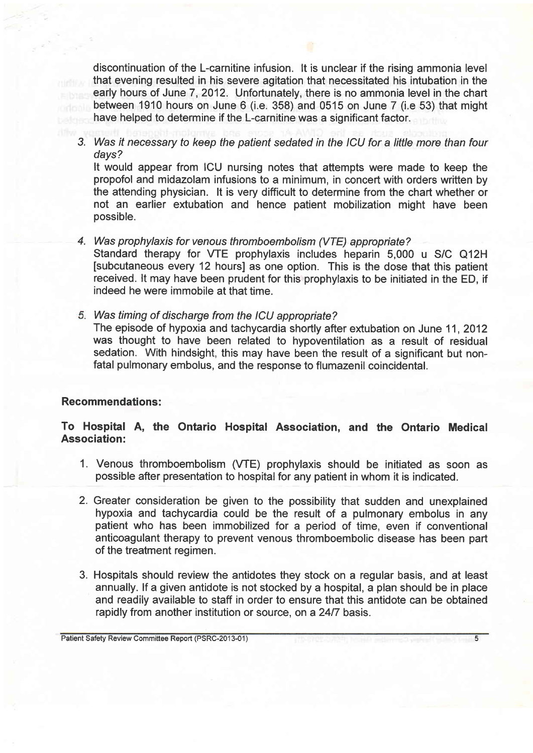discontinuation of the L-carnitine infusion. lt is unclear if the rising ammonia level that evening resulted in his severe agitation that necessitated his intubation in the early hours of June 7,2012. Unfortunately, there is no ammonia level in the chart between 1910 hours on June 6 (i.e. 358) and 0515 on June 7 (i.e 53) that might have helped to determine if the L-carnitine was a significant factor.

3. Was it necessary to keep the patient sedated in the ICU for a little more than four days?

It would appear from ICU nursing notes that attempts were made to keep the propofol and midazolam infusions to a minimum, in concert with orders written by the attending physician. lt is very difficult to determine from the chart whether or not an earlier extubation and hence patient mobilization might have been possible.

Was prophylaxis for venous thromboembolism (VTE) appropiate? 4.

Standard therapy for WE prophylaxis includes heparin 5,000 u S/C Q12H [subcutaneous every 12 hours] as one option. This is the dose that this patient received. lt may have been prudent for this prophylaxis to be initiated in the ED, if indeed he were immobile at that time.

Was timing of discharge from the ICU appropriate?

The episode of hypoxia and tachycardia shortly after extubation on June 11,2012 was thought to have been related to hypoventilation as a result of residual sedation. With hindsight, this may have been the result of a significant but nonfatal pulmonary embolus, and the response to flumazenil coincidental.

## Recommendations:

# To Hospital A, the Ontario Hospital Association, and the Ontario Medical Association:

- 1. Venous thromboembolism (WE) prophylaxis should be initiated as soon as possible after presentation to hospital for any patient in whom it is indicated.
- 2. Greater consideration be given to the possibility that sudden and unexplained hypoxia and tachycardia could be the result of a pulmonary embolus in any patient who has been immobilized for a period of time, even if conventional anticoagulant therapy to prevent venous thromboembolic disease has been part of the treatment regimen.
- 3. Hospitals should review the antidotes they stock on a regular basis, and at least annually. lf a given antidote is not stocked by a hospital, a plan should be in place and readily available to staff in order to ensure that this antidote can be obtained rapidly from another institution or source, on a 24/7 basis.